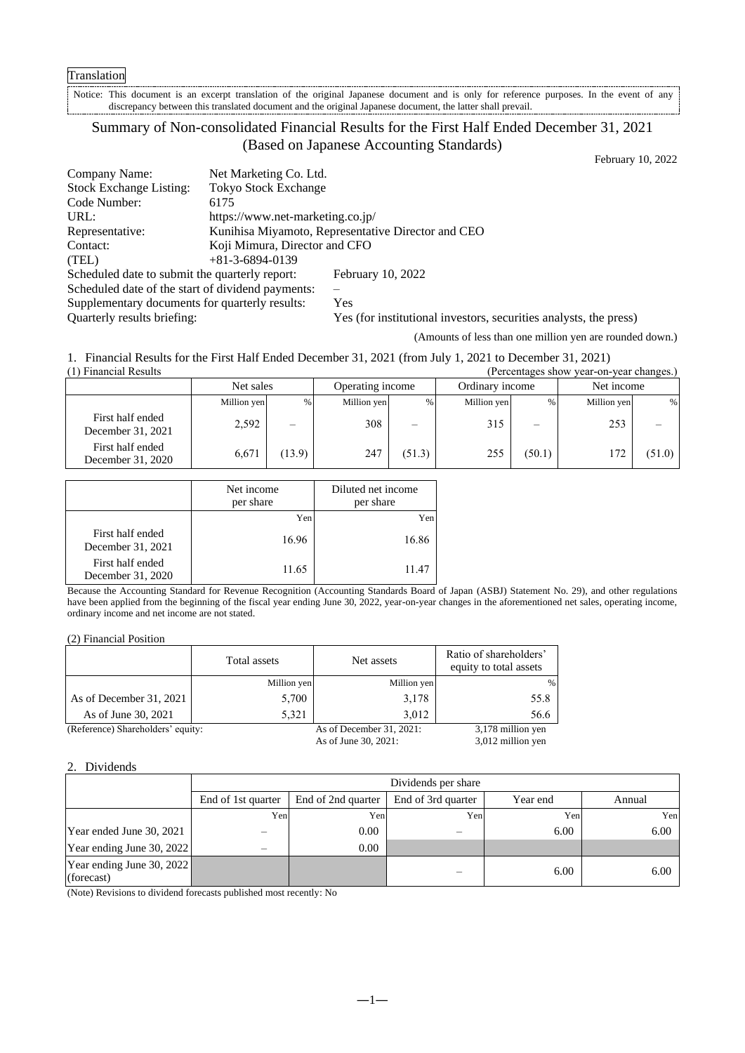Notice: This document is an excerpt translation of the original Japanese document and is only for reference purposes. In the event of any discrepancy between this translated document and the original Japanese document, the latter shall prevail.

# Summary of Non-consolidated Financial Results for the First Half Ended December 31, 2021 (Based on Japanese Accounting Standards)

February 10, 2022

| Company Name:                                     | Net Marketing Co. Ltd.           |                                                                   |
|---------------------------------------------------|----------------------------------|-------------------------------------------------------------------|
| <b>Stock Exchange Listing:</b>                    | <b>Tokyo Stock Exchange</b>      |                                                                   |
| Code Number:                                      | 6175                             |                                                                   |
| URL:                                              | https://www.net-marketing.co.jp/ |                                                                   |
| Representative:                                   |                                  | Kunihisa Miyamoto, Representative Director and CEO                |
| Contact:                                          | Koji Mimura, Director and CFO    |                                                                   |
| (TEL)                                             | $+81-3-6894-0139$                |                                                                   |
| Scheduled date to submit the quarterly report:    |                                  | February 10, 2022                                                 |
| Scheduled date of the start of dividend payments: |                                  |                                                                   |
| Supplementary documents for quarterly results:    |                                  | Yes                                                               |
| Quarterly results briefing:                       |                                  | Yes (for institutional investors, securities analysts, the press) |

(Amounts of less than one million yen are rounded down.)

1. Financial Results for the First Half Ended December 31, 2021 (from July 1, 2021 to December 31, 2021)

| (1) Financial Results<br>(Percentages show year-on-year changes.) |             |                          |                  |                          |                 |                          |             |        |
|-------------------------------------------------------------------|-------------|--------------------------|------------------|--------------------------|-----------------|--------------------------|-------------|--------|
|                                                                   | Net sales   |                          | Operating income |                          | Ordinary income |                          | Net income  |        |
|                                                                   | Million yen | %                        | Million yen      | %                        | Million yen     | $\%$                     | Million yen | %      |
| First half ended<br>December 31, 2021                             | 2,592       | $\overline{\phantom{0}}$ | 308              | $\overline{\phantom{m}}$ | 315             | $\overline{\phantom{0}}$ | 253         |        |
| First half ended<br>December 31, 2020                             | 6,671       | (13.9)                   | 247              | (51.3)                   | 255             | (50.1)                   |             | (51.0) |

|                                       | Net income<br>per share | Diluted net income<br>per share |  |
|---------------------------------------|-------------------------|---------------------------------|--|
|                                       | Yen                     | Yen                             |  |
| First half ended<br>December 31, 2021 | 16.96                   | 16.86                           |  |
| First half ended<br>December 31, 2020 | 11.65                   | 11.47                           |  |

Because the Accounting Standard for Revenue Recognition (Accounting Standards Board of Japan (ASBJ) Statement No. 29), and other regulations have been applied from the beginning of the fiscal year ending June 30, 2022, year-on-year changes in the aforementioned net sales, operating income, ordinary income and net income are not stated.

|                                   | Total assets | Net assets                  | Ratio of shareholders'<br>equity to total assets |
|-----------------------------------|--------------|-----------------------------|--------------------------------------------------|
|                                   | Million yen  | Million yen                 | $\%$                                             |
| As of December 31, 2021           | 5,700        | 3,178                       | 55.8                                             |
| As of June 30, 2021               | 5.321        | 3.012                       | 56.6                                             |
| (Reference) Shareholders' equity: |              | As of December $31, 2021$ : | 3,178 million yen                                |

As of June 30, 2021: 3,012 million yen

# 2. Dividends

| Dividends per share       |                    |                            |          |        |
|---------------------------|--------------------|----------------------------|----------|--------|
| End of 1st quarter        | End of 2nd quarter | End of 3rd quarter         | Year end | Annual |
|                           |                    | Yen                        | Yen      | Yen    |
|                           | 0.00               |                            | 6.00     | 6.00   |
| Year ending June 30, 2022 | 0.00               |                            |          |        |
| Year ending June 30, 2022 |                    |                            | 6.00     | 6.00   |
| $\cdots$ $\cdots$         |                    | Yen<br>Yen<br>$\mathbf{1}$ |          |        |

(Note) Revisions to dividend forecasts published most recently: No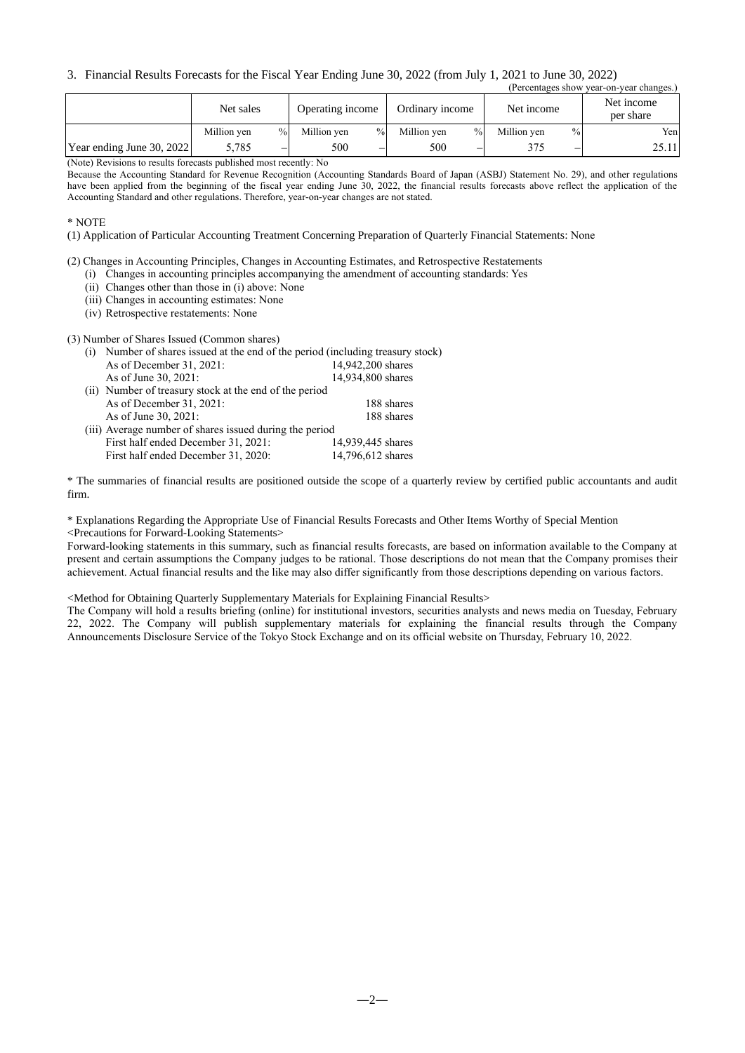#### 3. Financial Results Forecasts for the Fiscal Year Ending June 30, 2022 (from July 1, 2021 to June 30, 2022) (Percentages show year-on-year changes.)

|                           | Net sales   |               | Operating income    | Ordinary income     | Net income          | Net income<br>per share |
|---------------------------|-------------|---------------|---------------------|---------------------|---------------------|-------------------------|
|                           | Million ven | $\frac{0}{0}$ | $\%$<br>Million ven | $\%$<br>Million ven | $\%$<br>Million ven | Yenl                    |
| Year ending June 30, 2022 | 5,785       | —             | 500<br>–            | 500<br>—            | —                   | 25.11                   |

(Note) Revisions to results forecasts published most recently: No

Because the Accounting Standard for Revenue Recognition (Accounting Standards Board of Japan (ASBJ) Statement No. 29), and other regulations have been applied from the beginning of the fiscal year ending June 30, 2022, the financial results forecasts above reflect the application of the Accounting Standard and other regulations. Therefore, year-on-year changes are not stated.

\* NOTE

(1) Application of Particular Accounting Treatment Concerning Preparation of Quarterly Financial Statements: None

(2) Changes in Accounting Principles, Changes in Accounting Estimates, and Retrospective Restatements

(i) Changes in accounting principles accompanying the amendment of accounting standards: Yes

(ii) Changes other than those in (i) above: None

(iii) Changes in accounting estimates: None

(iv) Retrospective restatements: None

(3) Number of Shares Issued (Common shares)

| (i) | Number of shares issued at the end of the period (including treasury stock) |                   |  |  |  |
|-----|-----------------------------------------------------------------------------|-------------------|--|--|--|
|     | As of December 31, 2021:                                                    | 14,942,200 shares |  |  |  |
|     | As of June 30, 2021:                                                        | 14,934,800 shares |  |  |  |
|     | (ii) Number of treasury stock at the end of the period                      |                   |  |  |  |
|     | As of December $31, 2021$ :                                                 | 188 shares        |  |  |  |
|     | As of June 30, 2021:                                                        | 188 shares        |  |  |  |
|     | (iii) Average number of shares issued during the period                     |                   |  |  |  |
|     | First half ended December 31, 2021:                                         | 14.939.445 shares |  |  |  |
|     | First half ended December 31, 2020:                                         | 14,796,612 shares |  |  |  |

\* The summaries of financial results are positioned outside the scope of a quarterly review by certified public accountants and audit firm.

\* Explanations Regarding the Appropriate Use of Financial Results Forecasts and Other Items Worthy of Special Mention <Precautions for Forward-Looking Statements>

Forward-looking statements in this summary, such as financial results forecasts, are based on information available to the Company at present and certain assumptions the Company judges to be rational. Those descriptions do not mean that the Company promises their achievement. Actual financial results and the like may also differ significantly from those descriptions depending on various factors.

<Method for Obtaining Quarterly Supplementary Materials for Explaining Financial Results>

The Company will hold a results briefing (online) for institutional investors, securities analysts and news media on Tuesday, February 22, 2022. The Company will publish supplementary materials for explaining the financial results through the Company Announcements Disclosure Service of the Tokyo Stock Exchange and on its official website on Thursday, February 10, 2022.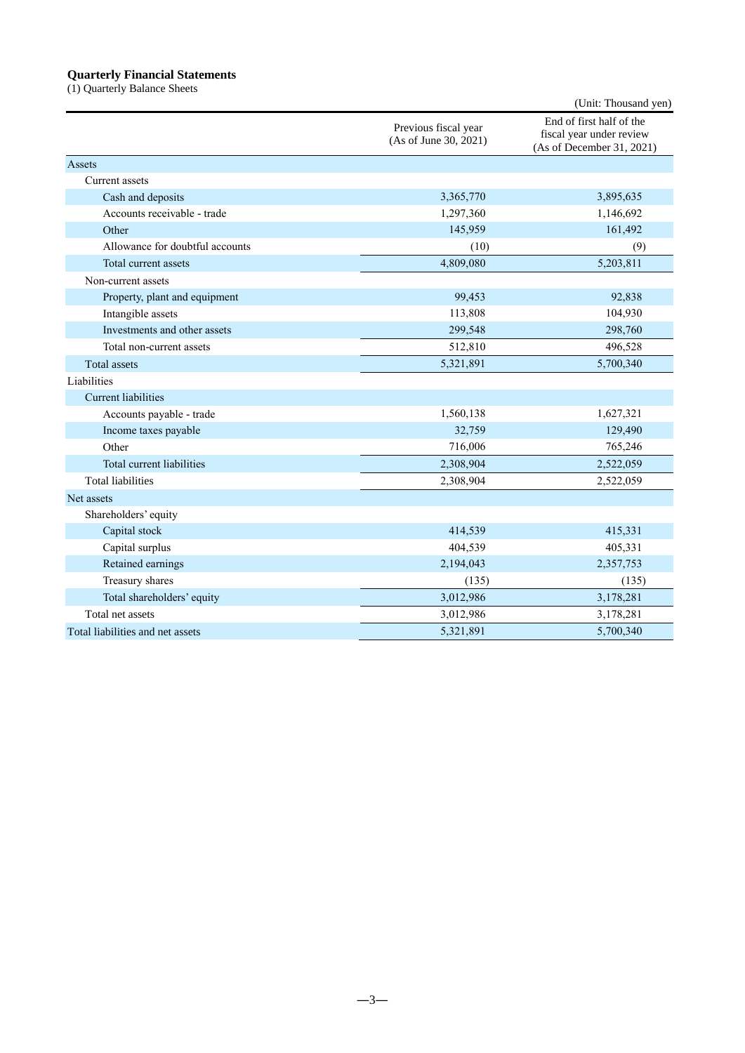# **Quarterly Financial Statements**

(1) Quarterly Balance Sheets

|                                  |                                               | (Unit: Thousand yen)                                                              |
|----------------------------------|-----------------------------------------------|-----------------------------------------------------------------------------------|
|                                  | Previous fiscal year<br>(As of June 30, 2021) | End of first half of the<br>fiscal year under review<br>(As of December 31, 2021) |
| Assets                           |                                               |                                                                                   |
| Current assets                   |                                               |                                                                                   |
| Cash and deposits                | 3,365,770                                     | 3,895,635                                                                         |
| Accounts receivable - trade      | 1,297,360                                     | 1,146,692                                                                         |
| Other                            | 145,959                                       | 161,492                                                                           |
| Allowance for doubtful accounts  | (10)                                          | (9)                                                                               |
| Total current assets             | 4,809,080                                     | 5,203,811                                                                         |
| Non-current assets               |                                               |                                                                                   |
| Property, plant and equipment    | 99,453                                        | 92,838                                                                            |
| Intangible assets                | 113,808                                       | 104,930                                                                           |
| Investments and other assets     | 299,548                                       | 298,760                                                                           |
| Total non-current assets         | 512,810                                       | 496,528                                                                           |
| <b>Total assets</b>              | 5,321,891                                     | 5,700,340                                                                         |
| Liabilities                      |                                               |                                                                                   |
| <b>Current liabilities</b>       |                                               |                                                                                   |
| Accounts payable - trade         | 1,560,138                                     | 1,627,321                                                                         |
| Income taxes payable             | 32,759                                        | 129,490                                                                           |
| Other                            | 716,006                                       | 765,246                                                                           |
| Total current liabilities        | 2,308,904                                     | 2,522,059                                                                         |
| <b>Total liabilities</b>         | 2,308,904                                     | 2,522,059                                                                         |
| Net assets                       |                                               |                                                                                   |
| Shareholders' equity             |                                               |                                                                                   |
| Capital stock                    | 414,539                                       | 415,331                                                                           |
| Capital surplus                  | 404,539                                       | 405,331                                                                           |
| Retained earnings                | 2,194,043                                     | 2,357,753                                                                         |
| Treasury shares                  | (135)                                         | (135)                                                                             |
| Total shareholders' equity       | 3,012,986                                     | 3,178,281                                                                         |
| Total net assets                 | 3,012,986                                     | 3,178,281                                                                         |
| Total liabilities and net assets | 5,321,891                                     | 5,700,340                                                                         |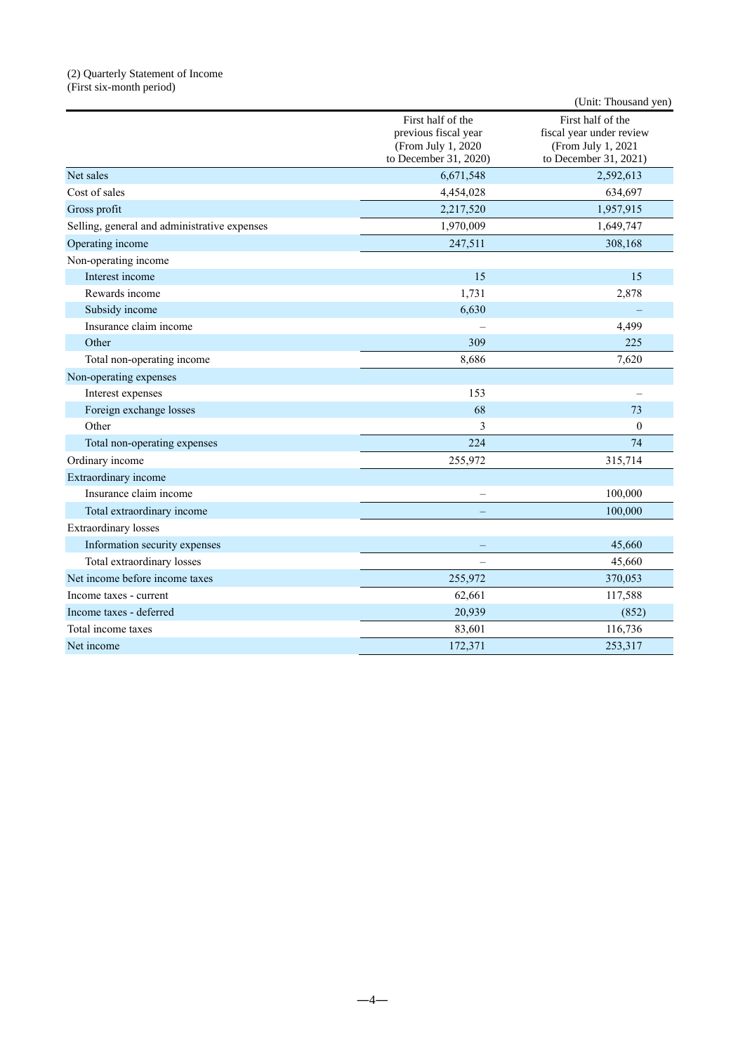#### (2) Quarterly Statement of Income (First six-month period)

|                                              |                                                                                          | (Unit: Thousand yen)                                                                         |
|----------------------------------------------|------------------------------------------------------------------------------------------|----------------------------------------------------------------------------------------------|
|                                              | First half of the<br>previous fiscal year<br>(From July 1, 2020<br>to December 31, 2020) | First half of the<br>fiscal year under review<br>(From July 1, 2021<br>to December 31, 2021) |
| Net sales                                    | 6,671,548                                                                                | 2,592,613                                                                                    |
| Cost of sales                                | 4,454,028                                                                                | 634,697                                                                                      |
| Gross profit                                 | 2,217,520                                                                                | 1,957,915                                                                                    |
| Selling, general and administrative expenses | 1,970,009                                                                                | 1,649,747                                                                                    |
| Operating income                             | 247,511                                                                                  | 308,168                                                                                      |
| Non-operating income                         |                                                                                          |                                                                                              |
| Interest income                              | 15                                                                                       | 15                                                                                           |
| Rewards income                               | 1,731                                                                                    | 2,878                                                                                        |
| Subsidy income                               | 6,630                                                                                    |                                                                                              |
| Insurance claim income                       |                                                                                          | 4,499                                                                                        |
| Other                                        | 309                                                                                      | 225                                                                                          |
| Total non-operating income                   | 8,686                                                                                    | 7,620                                                                                        |
| Non-operating expenses                       |                                                                                          |                                                                                              |
| Interest expenses                            | 153                                                                                      |                                                                                              |
| Foreign exchange losses                      | 68                                                                                       | 73                                                                                           |
| Other                                        | 3                                                                                        | $\boldsymbol{0}$                                                                             |
| Total non-operating expenses                 | 224                                                                                      | 74                                                                                           |
| Ordinary income                              | 255,972                                                                                  | 315,714                                                                                      |
| Extraordinary income                         |                                                                                          |                                                                                              |
| Insurance claim income                       |                                                                                          | 100,000                                                                                      |
| Total extraordinary income                   |                                                                                          | 100,000                                                                                      |
| <b>Extraordinary losses</b>                  |                                                                                          |                                                                                              |
| Information security expenses                |                                                                                          | 45,660                                                                                       |
| Total extraordinary losses                   | $\equiv$                                                                                 | 45,660                                                                                       |
| Net income before income taxes               | 255,972                                                                                  | 370,053                                                                                      |
| Income taxes - current                       | 62,661                                                                                   | 117,588                                                                                      |
| Income taxes - deferred                      | 20,939                                                                                   | (852)                                                                                        |
| Total income taxes                           | 83,601                                                                                   | 116,736                                                                                      |
| Net income                                   | 172,371                                                                                  | 253,317                                                                                      |